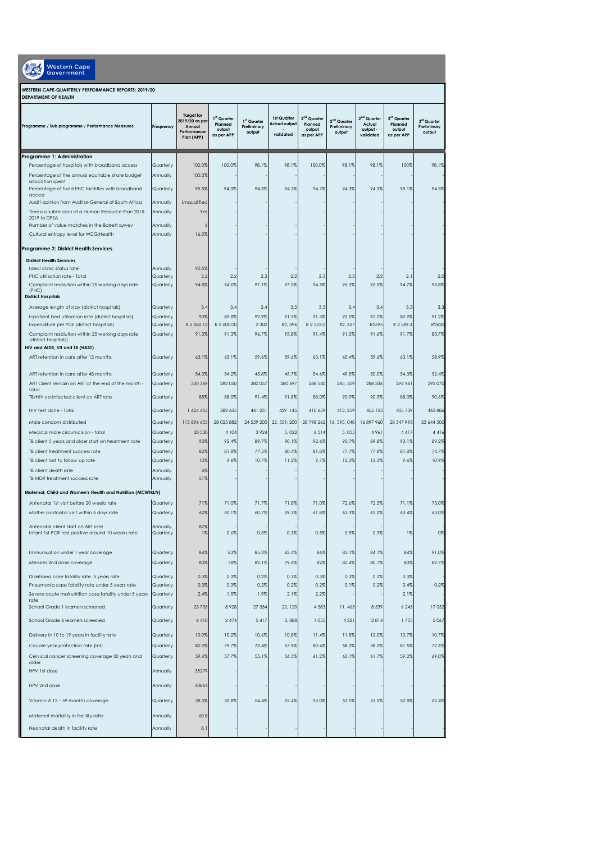| Western Cape<br>Government                                                              |                        |                                                                            |                                                |                                      |                                           |                                                            |                                                  |                                                            |                                                |                                      |  |
|-----------------------------------------------------------------------------------------|------------------------|----------------------------------------------------------------------------|------------------------------------------------|--------------------------------------|-------------------------------------------|------------------------------------------------------------|--------------------------------------------------|------------------------------------------------------------|------------------------------------------------|--------------------------------------|--|
| WESTERN CAPE-QUARTERLY PERFORMANCE REPORTS: 2019/20<br>DEPARTMENT OF HEALTH             |                        |                                                                            |                                                |                                      |                                           |                                                            |                                                  |                                                            |                                                |                                      |  |
| Programme / Sub programme / Performance Measures                                        | Freauency              | <b>Target for</b><br>2019/20 as per<br>Annual<br>Performance<br>Plan (APP) | 1st Quarter<br>Planned<br>output<br>as per APP | 1st Quarter<br>Preliminary<br>output | 1st Quarter<br>Actual output<br>validated | 2 <sup>nd</sup> Quarter<br>Planned<br>output<br>as per APP | 2 <sup>nd</sup> Quarter<br>Preliminary<br>output | 2 <sup>nd</sup> Quarter<br>Actual<br>output -<br>validated | 3rd Quarter<br>Planned<br>output<br>as per APP | 3rd Quarter<br>Preliminary<br>output |  |
| Programme 1: Administration                                                             |                        |                                                                            |                                                |                                      |                                           |                                                            |                                                  |                                                            |                                                |                                      |  |
| Percentage of hospitals with broadband access                                           | Quarterly              | 100.0%                                                                     | 100.0%                                         | 98.1%                                | 98.1%                                     | 100.0%                                                     | 98.1%                                            | 98.1%                                                      | 100%                                           | 98.1%                                |  |
| Percentage of the annual equitable share budget<br>allocation spent                     | Annually               | 100.0%                                                                     |                                                |                                      |                                           |                                                            |                                                  |                                                            |                                                |                                      |  |
| Percentage of fixed PHC facilities with broadband<br>access                             | Quarterly              | 95.5%                                                                      | 94.3%                                          | 94.3%                                | 94.3%                                     | 94.7%                                                      | 94.3%                                            | 94.3%                                                      | 95.1%                                          | 94.3%                                |  |
| Audit opinion from Auditor-General of South Africa                                      | Annually               | Unqualified                                                                |                                                |                                      |                                           |                                                            |                                                  |                                                            |                                                |                                      |  |
| Timeous submission of a Human Resource Plan 2015-<br>2019 to DPSA                       | Annually               | Yes                                                                        |                                                |                                      |                                           |                                                            |                                                  |                                                            |                                                |                                      |  |
| Number of value matches in the Barrett survey                                           | Annually               |                                                                            |                                                |                                      |                                           |                                                            |                                                  |                                                            |                                                |                                      |  |
| Cultural entropy level for WCG: Health                                                  | Annually               | 16.0%                                                                      |                                                |                                      |                                           |                                                            |                                                  |                                                            |                                                |                                      |  |
| Programme 2: District Health Services                                                   |                        |                                                                            |                                                |                                      |                                           |                                                            |                                                  |                                                            |                                                |                                      |  |
| <b>District Health Services</b>                                                         |                        |                                                                            |                                                |                                      |                                           |                                                            |                                                  |                                                            |                                                |                                      |  |
| Ideal clinic status rate                                                                | Annually               | 90.5%                                                                      |                                                |                                      |                                           |                                                            |                                                  |                                                            |                                                |                                      |  |
| PHC utilisation rate - Total<br>Complaint resolution within 25 working days rate        | Quarterly<br>Quarterly | 2.2<br>94.8%                                                               | 2.2<br>94.6%                                   | 2.3<br>97.1%                         | 2.2<br>97.5%                              | 2.3<br>94.5%                                               | 2.3<br>96.3%                                     | 2.2<br>96.5%                                               | 2.1<br>94.7%                                   | 2.0<br>93.8%                         |  |
| (PHC)<br><b>District Hospitals</b>                                                      |                        |                                                                            |                                                |                                      |                                           |                                                            |                                                  |                                                            |                                                |                                      |  |
| Average length of stay (district hospitals)                                             | Quarterly              | 3.4                                                                        | 3.4                                            | 3.4                                  | 3.5                                       | 3.3                                                        | 3.4                                              | 3.4                                                        | 3.3                                            | 3.3                                  |  |
| Inpatient bed utilisation rate (district hospitals)                                     | Quarterly              | 90%                                                                        | 89.8%                                          | 92.9%                                | 91.5%                                     | 91.3%                                                      | 92.5%                                            | 92.2%                                                      | 89.9%                                          | 91.2%                                |  |
| Expenditure per PDE (district hospitals)                                                | Quarterly              | R 2 580.12                                                                 | R 2 600.00                                     | 2 3 0 2                              | R2, 396                                   | R 2 553.0                                                  | R2, 627                                          | R2595                                                      | R 2 589.4                                      | R2620                                |  |
| Complaint resolution within 25 working days rate<br>(district hospitals)                | Quarterly              | 91.3%                                                                      | 91.3%                                          | 96.7%                                | 95.8%                                     | 91.4%                                                      | 91.0%                                            | 91.6%                                                      | 91.7%                                          | 83.7%                                |  |
| HIV and AIDS, STI and TB (HAST)                                                         |                        |                                                                            |                                                |                                      |                                           |                                                            |                                                  |                                                            |                                                |                                      |  |
| ART retention in care after 12 months                                                   | Quarterly              | 63.1%                                                                      | 63.1%                                          | 59.6%                                | 59.6%                                     | 63.1%                                                      | 60.4%                                            | 59.6%                                                      | 63.1%                                          | 58.9%                                |  |
| ART retention in care after 48 months                                                   | Quarterly              | 54.3%                                                                      | 54.2%                                          | 45.8%                                | 45.7%                                     | 54.6%                                                      | 49.5%                                            | 50.0%                                                      | 54.3%                                          | 52.4%                                |  |
| ART Client remain on ART at the end of the month -                                      | Quarterly              | 300 369                                                                    | 282 050                                        | 280 057                              | 280 697                                   | 288 540                                                    | 285, 459                                         | 288 336                                                    | 294 981                                        | 292 070                              |  |
| total<br>TB/HIV co-infected client on ART rate                                          | Quarterly              | 88%                                                                        | 88.0%                                          | 91.4%                                | 91.8%                                     | 88.0%                                                      | 90.9%                                            | 90.5%                                                      | 88.0%                                          | 90.6%                                |  |
| HIV test done - Total                                                                   | Quarterly              | 1 624 453                                                                  | 382 635                                        | 441 231                              | 429 145                                   | 410 659                                                    | 413, 259                                         | 455 125                                                    | 405 739                                        | 463 886                              |  |
| Male condom distributed                                                                 | Quarterly              | 113 896 655                                                                | 28 0 25 8 8 2                                  | 24 559 200                           | 22, 559, 200                              | 28 798 262                                                 | 16, 595, 040                                     | 16897960                                                   | 28 347 993                                     | 23 644 500                           |  |
| Medical male circumcision - total                                                       | Quarterly              | 20 530                                                                     | 4 104                                          | 3924                                 | 5,022                                     | 6514                                                       | 5,055                                            | 4961                                                       | 4617                                           | 4416                                 |  |
| TB client 5 years and older start on treatment rate                                     | Quarterly              | 93%                                                                        | 92.4%                                          | 89.7%                                | 90.1%                                     | 92.6%                                                      | 90.7%                                            | 89.8%                                                      | 93.1%                                          | 89.2%                                |  |
| TB client treatment success rate                                                        | Quarterly              | 82%                                                                        | 81.8%                                          | 77.5%                                | 80.4%                                     | 81.8%                                                      | 77.7%                                            | 77.8%                                                      | 81.8%                                          | 74.7%                                |  |
| TB client lost to follow up rate                                                        | Quarterly              | 10%                                                                        | 9.6%                                           | 10.7%                                | 11.2%                                     | 9.7%                                                       | 12.3%                                            | 12.3%                                                      | 9.6%                                           | 10.9%                                |  |
| TB client death rate                                                                    | Annually               | 4%                                                                         |                                                |                                      |                                           |                                                            |                                                  |                                                            |                                                |                                      |  |
| TB MDR treatment success rate                                                           | Annually               | 51%                                                                        |                                                |                                      |                                           |                                                            |                                                  |                                                            |                                                |                                      |  |
| Maternal, Child and Women's Health and Nutrition (MCWH&N)                               |                        |                                                                            |                                                |                                      |                                           |                                                            |                                                  |                                                            |                                                |                                      |  |
| Antenatal 1st visit before 20 weeks rate                                                | Quarterly              | 71%                                                                        | 71.0%                                          | 71.7%                                | 71.8%                                     | 71.0%                                                      | 72.6%                                            | 72.5%                                                      | 71.1%                                          | 73.0%                                |  |
| Mother postnatal visit within 6 days rate                                               | Quarterly              | 62%                                                                        | 60.1%                                          | 60.7%                                | 59.3%                                     | 61.8%                                                      | 63.3%                                            | 62.0%                                                      | 63.4%                                          | 63.0%                                |  |
| Antenatal client start on ART rate<br>Infant 1st PCR test positive around 10 weeks rate | Annually<br>Quarterly  | 87%<br>1%                                                                  | 0.6%                                           | 0.3%                                 | 0.3%                                      | 0.5%                                                       | 0.5%                                             | 0.3%                                                       | $1\%$                                          | 0%                                   |  |
|                                                                                         |                        |                                                                            |                                                |                                      |                                           |                                                            |                                                  |                                                            |                                                |                                      |  |
| Immunisation under 1 year coverage                                                      | Quarterly              | 84%                                                                        | 83%                                            | 85.3%                                | 83.4%                                     | 86%                                                        | 83.1%                                            | 84.1%                                                      | 84%                                            | 91.0%                                |  |
| Measles 2nd dose coverage                                                               | Quarterly              | 80%                                                                        | 78%                                            | 82.1%                                | 79.6%                                     | 82%                                                        | 82.4%                                            | 80.7%                                                      | 80%                                            | 82.7%                                |  |
| Diarrhoea case fatality rate 5 years rate                                               | Quarterly              | 0.3%                                                                       | 0.3%                                           | 0.2%                                 | 0.3%                                      | 0.3%                                                       | 0.3%                                             | 0.2%                                                       | 0.3%                                           |                                      |  |
| Pneumonia case fatality rate under 5 years rate                                         | Quarterly              | 0.3%                                                                       | 0.3%                                           | 0.2%                                 | 0.2%                                      | 0.2%                                                       | 0.1%                                             | 0.2%                                                       | 0.4%                                           | 0.2%                                 |  |
| Severe acute malnutrition case fatality under 5 years<br>rate                           | Quarterly              | 2.4%                                                                       | 1.5%                                           | 1.9%                                 | 2.1%                                      | 2.2%                                                       |                                                  |                                                            | 2.1%                                           |                                      |  |
| School Grade 1 learners screened                                                        | Quarterly              | 23 7 35                                                                    | 8928                                           | 27 354                               | 22, 123                                   | 4 3 8 3                                                    | 11, 465                                          | 8 5 3 9                                                    | 6 2 4 3                                        | 17 052                               |  |
| School Grade 8 learners screened                                                        | Quarterly              | 6410                                                                       | 2 4 7 4                                        | 5 4 1 7                              | 3,888                                     | 1055                                                       | 4 2 2 1                                          | 2814                                                       | 1755                                           | 5 0 6 7                              |  |
| Delivery in 10 to 19 years in facility rate                                             | Quarterly              | 10.9%                                                                      | 10.2%                                          | 10.6%                                | 10.8%                                     | 11.4%                                                      | 11.8%                                            | 12.0%                                                      | 10.7%                                          | 10.7%                                |  |
| Couple year protection rate (Int)                                                       | Quarterly              | 80.9%                                                                      | 79.7%                                          | 73.4%                                | 67.9%                                     | 80.4%                                                      | 58.3%                                            | 58.5%                                                      | 81.5%                                          | 72.6%                                |  |
| Cervical cancer screening coverage 30 years and                                         | Quarterly              | 59.4%                                                                      | 57.7%                                          | 55.1%                                | 56.3%                                     | 61.2%                                                      | 63.1%                                            | 61.7%                                                      | 59.2%                                          | 69.0%                                |  |
| older<br>HPV 1st dose                                                                   | Annually               | 35279                                                                      |                                                |                                      |                                           |                                                            |                                                  |                                                            |                                                |                                      |  |
|                                                                                         |                        |                                                                            |                                                |                                      |                                           |                                                            |                                                  |                                                            |                                                |                                      |  |
| HPV 2nd dose                                                                            | Annually               | 40864                                                                      |                                                |                                      |                                           |                                                            |                                                  |                                                            |                                                |                                      |  |
| Vitamin A 12 - 59 months coverage                                                       | Quarterly              | 38.3%                                                                      | 50.8%                                          | 54.4%                                | 52.4%                                     | 53.0%                                                      | 53.5%                                            | 53.5%                                                      | 52.8%                                          | 62.4%                                |  |
| Maternal mortality in facility ratio                                                    | Annually               | 60.8                                                                       |                                                |                                      |                                           |                                                            |                                                  |                                                            |                                                |                                      |  |
| Neonatal death in facility rate                                                         | Annually               | 8.1                                                                        |                                                |                                      |                                           |                                                            |                                                  |                                                            |                                                |                                      |  |
|                                                                                         |                        |                                                                            |                                                |                                      |                                           |                                                            |                                                  |                                                            |                                                |                                      |  |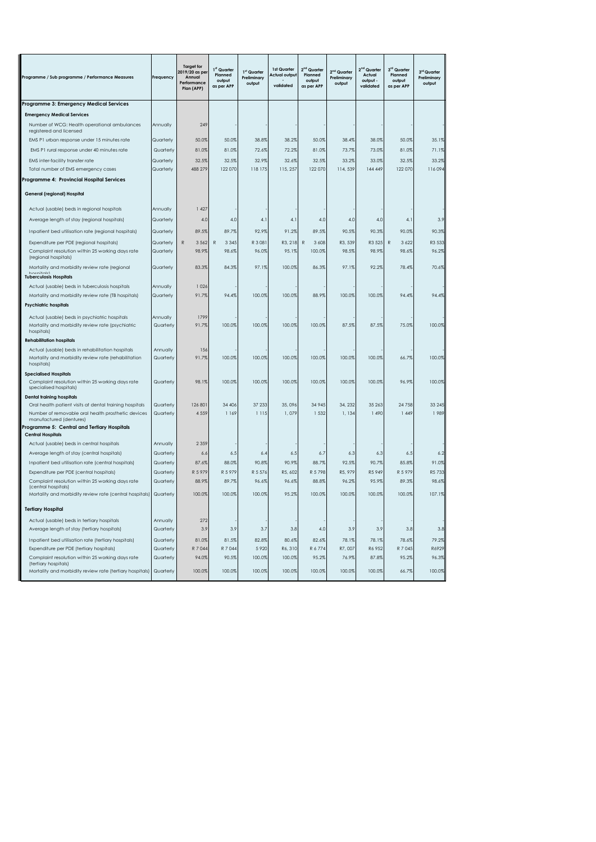| <b>Target for</b><br>$2nd$ Quarter<br>2 <sup>nd</sup> Quarter<br>3rd Quarter<br>1 <sup>st</sup> Quarter<br>1st Quarter<br>2019/20 as per<br>$2nd$ Quarter<br>1 <sup>st</sup> Quarter<br>3 <sup>rd</sup> Quarter<br>Planned<br><b>Actual output</b><br>Planned<br>Planned<br>Actual<br>Programme / Sub programme / Performance Measures<br>Frequency<br>Annual<br>Preliminary<br>Preliminary<br>Preliminary<br>output<br>output<br>output -<br>output<br>Performance<br>output<br>output<br>output<br>validated<br>as per APP<br>validated<br>as per APP<br>as per APP<br>Plan (APP)<br>Programme 3: Emergency Medical Services<br><b>Emergency Medical Services</b><br>Number of WCG: Health operational ambulances<br>249<br>Annually<br>registered and licensed<br>50.0%<br>50.0%<br>38.8%<br>38.2%<br>50.0%<br>38.4%<br>38.0%<br>50.0%<br>EMS P1 urban response under 15 minutes rate<br>Quarterly<br>EMS P1 rural response under 40 minutes rate<br>Quarterly<br>81.0%<br>81.0%<br>72.6%<br>72.2%<br>81.0%<br>73.7%<br>73.0%<br>81.0%<br>EMS inter-facility transfer rate<br>32.5%<br>32.5%<br>32.9%<br>32.6%<br>32.5%<br>33.2%<br>33.0%<br>32.5%<br>Quarterly<br>Total number of EMS emergency cases<br>Quarterly<br>488 279<br>122070<br>118 175<br>115, 257<br>122070<br>114, 539<br>144 449<br>122 070<br>Programme 4: Provincial Hospital Services<br>General (regional) Hospital<br>Actual (usable) beds in regional hospitals<br>1427<br>Annually<br>Average length of stay (regional hospitals)<br>Quarterly<br>4.0<br>4.0<br>4.1<br>4.1<br>4.0<br>4.0<br>4.0<br>4.1<br>89.5%<br>90.5%<br>90.0%<br>90.3%<br>Inpatient bed utilisation rate (regional hospitals)<br>89.7%<br>92.9%<br>91.2%<br>89.5%<br>90.3%<br>Quarterly<br>Expenditure per PDE (regional hospitals)<br>Quarterly<br>3562<br>3 3 4 5<br>R 3 081<br>R3, 218<br>3 6 0 8<br>R3, 539<br>R3 525<br>$\mathbb R$<br>3 6 2 2<br>R<br>R<br>R<br>Complaint resolution within 25 working days rate<br>96.0%<br>98.5%<br>98.6%<br>Quarterly<br>98.9%<br>98.6%<br>95.1%<br>100.0%<br>98.9%<br>(regional hospitals)<br>Mortality and morbidity review rate (regional<br>Quarterly<br>83.3%<br>84.3%<br>97.1%<br>100.0%<br>86.3%<br>97.1%<br>92.2%<br>78.4%<br>hoenitalel<br><b>Tuberculosis Hospitals</b><br>Actual (usable) beds in tuberculosis hospitals<br>1 0 2 6<br>Annually<br>100.0%<br>Mortality and morbidity review rate (TB hospitals)<br>Quarterly<br>91.7%<br>94.4%<br>100.0%<br>100.0%<br>88.9%<br>100.0%<br>94.4%<br><b>Psychiatric hospitals</b><br>1799<br>Actual (usable) beds in psychiatric hospitals<br>Annually<br>Mortality and morbidity review rate (psychiatric<br>Quarterly<br>91.7%<br>100.0%<br>100.0%<br>100.0%<br>100.0%<br>87.5%<br>87.5%<br>75.0%<br>hospitals)<br><b>Rehabilitation hospitals</b><br>Actual (usable) beds in rehabilitation hospitals<br>Annually<br>156<br>Mortality and morbidity review rate (rehabilitation<br>100.0%<br>100.0%<br>100.0%<br>100.0%<br>100.0%<br>100.0%<br>Quarterly<br>91.7%<br>66.7%<br>hospitals)<br><b>Specialised Hospitals</b><br>Complaint resolution within 25 working days rate<br>100.0%<br>100.0%<br>100.0%<br>100.0%<br>100.0%<br>100.0%<br>96.9%<br>Quarterly<br>98.1%<br>specialised hospitals)<br><b>Dental training hospitals</b><br>Oral health patient visits at dental training hospitals<br>Quarterly<br>126 801<br>34 406<br>37 233<br>35,096<br>34 945<br>34, 232<br>35 26 3<br>24 7 58<br>4 5 5 9<br>1 169<br>1 1 1 5<br>1,079<br>1,134<br>1 490<br>1449<br>Number of removable oral health prosthetic devices<br>Quarterly<br>1532<br>manufactured (dentures)<br>Programme 5: Central and Tertiary Hospitals<br><b>Central Hospitals</b><br>Actual (usable) beds in central hospitals<br>Annually<br>2 3 5 9<br>Average length of stay (central hospitals)<br>Quarterly<br>6.7<br>6.5<br>6.4<br>6.5<br>6.3<br>6.3<br>6.5<br>6.6<br>88.0%<br>90.8%<br>90.9%<br>92.5%<br>85.8%<br>Inpatient bed utilisation rate (central hospitals)<br>Quarterly<br>87.6%<br>88.7%<br>90.7%<br>Expenditure per PDE (central hospitals)<br>R 5 979<br>R 5 979<br>R 5 5 7 6<br>R5, 602<br>R 5798<br>R5, 979<br>R5 949<br>R 5 979<br>Quarterly<br>Complaint resolution within 25 working days rate<br>Quarterly<br>88.9%<br>89.7%<br>96.6%<br>96.6%<br>88.8%<br>96.2%<br>95.9%<br>89.3%<br>(central hospitals)<br>Mortality and morbidity review rate (central hospitals)<br>Quarterly<br>100.09<br>100.09<br>100.09<br>95.2<br>100.0<br>100.09<br>100.0<br>100.09<br>107.19<br><b>Tertiary Hospital</b><br>Actual (usable) beds in tertiary hospitals<br>Annually<br>272<br>Average length of stay (tertiary hospitals)<br>3.9<br>Quarterly<br>3.9<br>3.7<br>3.8<br>4.0<br>3.9<br>3.9<br>3.8<br>Inpatient bed utilisation rate (tertiary hospitals)<br>Quarterly<br>81.0%<br>81.5%<br>82.8%<br>80.6%<br>82.6%<br>78.1%<br>78.1%<br>78.6%<br>Expenditure per PDE (tertiary hospitals)<br>R 7 044<br>R 7 045<br>R6929<br>Quarterly<br>R 7 044<br>5 9 20<br>R6, 310<br>R 6774<br>R7,007<br>R6 952<br>Complaint resolution within 25 working days rate<br>100.0%<br>Quarterly<br>94.0%<br>90.5%<br>100.0%<br>95.2%<br>76.9%<br>87.8%<br>95.2%<br>(tertiary hospitals)<br>100.0%<br>100.0%<br>100.0%<br>100.0%<br>100.0%<br>Mortality and morbidity review rate (tertiary hospitals) Quarterly<br>100.0%<br>100.0%<br>66.7% |  |  |  |  |  |                 |
|-------------------------------------------------------------------------------------------------------------------------------------------------------------------------------------------------------------------------------------------------------------------------------------------------------------------------------------------------------------------------------------------------------------------------------------------------------------------------------------------------------------------------------------------------------------------------------------------------------------------------------------------------------------------------------------------------------------------------------------------------------------------------------------------------------------------------------------------------------------------------------------------------------------------------------------------------------------------------------------------------------------------------------------------------------------------------------------------------------------------------------------------------------------------------------------------------------------------------------------------------------------------------------------------------------------------------------------------------------------------------------------------------------------------------------------------------------------------------------------------------------------------------------------------------------------------------------------------------------------------------------------------------------------------------------------------------------------------------------------------------------------------------------------------------------------------------------------------------------------------------------------------------------------------------------------------------------------------------------------------------------------------------------------------------------------------------------------------------------------------------------------------------------------------------------------------------------------------------------------------------------------------------------------------------------------------------------------------------------------------------------------------------------------------------------------------------------------------------------------------------------------------------------------------------------------------------------------------------------------------------------------------------------------------------------------------------------------------------------------------------------------------------------------------------------------------------------------------------------------------------------------------------------------------------------------------------------------------------------------------------------------------------------------------------------------------------------------------------------------------------------------------------------------------------------------------------------------------------------------------------------------------------------------------------------------------------------------------------------------------------------------------------------------------------------------------------------------------------------------------------------------------------------------------------------------------------------------------------------------------------------------------------------------------------------------------------------------------------------------------------------------------------------------------------------------------------------------------------------------------------------------------------------------------------------------------------------------------------------------------------------------------------------------------------------------------------------------------------------------------------------------------------------------------------------------------------------------------------------------------------------------------------------------------------------------------------------------------------------------------------------------------------------------------------------------------------------------------------------------------------------------------------------------------------------------------------------------------------------------------------------------------------------------------------------------------------------------------------------------------------------------------------------------------------------------------------------------------------------------------------------------------------------------------------------------------------------------------------------------------------------------------------------------------------------------------------------------------------------------------------------------------------------------------------------------------------------------------------------------------------------------------------------------------------------------------------------------------------------------------|--|--|--|--|--|-----------------|
|                                                                                                                                                                                                                                                                                                                                                                                                                                                                                                                                                                                                                                                                                                                                                                                                                                                                                                                                                                                                                                                                                                                                                                                                                                                                                                                                                                                                                                                                                                                                                                                                                                                                                                                                                                                                                                                                                                                                                                                                                                                                                                                                                                                                                                                                                                                                                                                                                                                                                                                                                                                                                                                                                                                                                                                                                                                                                                                                                                                                                                                                                                                                                                                                                                                                                                                                                                                                                                                                                                                                                                                                                                                                                                                                                                                                                                                                                                                                                                                                                                                                                                                                                                                                                                                                                                                                                                                                                                                                                                                                                                                                                                                                                                                                                                                                                                                                                                                                                                                                                                                                                                                                                                                                                                                                                                                                                                   |  |  |  |  |  |                 |
|                                                                                                                                                                                                                                                                                                                                                                                                                                                                                                                                                                                                                                                                                                                                                                                                                                                                                                                                                                                                                                                                                                                                                                                                                                                                                                                                                                                                                                                                                                                                                                                                                                                                                                                                                                                                                                                                                                                                                                                                                                                                                                                                                                                                                                                                                                                                                                                                                                                                                                                                                                                                                                                                                                                                                                                                                                                                                                                                                                                                                                                                                                                                                                                                                                                                                                                                                                                                                                                                                                                                                                                                                                                                                                                                                                                                                                                                                                                                                                                                                                                                                                                                                                                                                                                                                                                                                                                                                                                                                                                                                                                                                                                                                                                                                                                                                                                                                                                                                                                                                                                                                                                                                                                                                                                                                                                                                                   |  |  |  |  |  |                 |
|                                                                                                                                                                                                                                                                                                                                                                                                                                                                                                                                                                                                                                                                                                                                                                                                                                                                                                                                                                                                                                                                                                                                                                                                                                                                                                                                                                                                                                                                                                                                                                                                                                                                                                                                                                                                                                                                                                                                                                                                                                                                                                                                                                                                                                                                                                                                                                                                                                                                                                                                                                                                                                                                                                                                                                                                                                                                                                                                                                                                                                                                                                                                                                                                                                                                                                                                                                                                                                                                                                                                                                                                                                                                                                                                                                                                                                                                                                                                                                                                                                                                                                                                                                                                                                                                                                                                                                                                                                                                                                                                                                                                                                                                                                                                                                                                                                                                                                                                                                                                                                                                                                                                                                                                                                                                                                                                                                   |  |  |  |  |  |                 |
|                                                                                                                                                                                                                                                                                                                                                                                                                                                                                                                                                                                                                                                                                                                                                                                                                                                                                                                                                                                                                                                                                                                                                                                                                                                                                                                                                                                                                                                                                                                                                                                                                                                                                                                                                                                                                                                                                                                                                                                                                                                                                                                                                                                                                                                                                                                                                                                                                                                                                                                                                                                                                                                                                                                                                                                                                                                                                                                                                                                                                                                                                                                                                                                                                                                                                                                                                                                                                                                                                                                                                                                                                                                                                                                                                                                                                                                                                                                                                                                                                                                                                                                                                                                                                                                                                                                                                                                                                                                                                                                                                                                                                                                                                                                                                                                                                                                                                                                                                                                                                                                                                                                                                                                                                                                                                                                                                                   |  |  |  |  |  |                 |
|                                                                                                                                                                                                                                                                                                                                                                                                                                                                                                                                                                                                                                                                                                                                                                                                                                                                                                                                                                                                                                                                                                                                                                                                                                                                                                                                                                                                                                                                                                                                                                                                                                                                                                                                                                                                                                                                                                                                                                                                                                                                                                                                                                                                                                                                                                                                                                                                                                                                                                                                                                                                                                                                                                                                                                                                                                                                                                                                                                                                                                                                                                                                                                                                                                                                                                                                                                                                                                                                                                                                                                                                                                                                                                                                                                                                                                                                                                                                                                                                                                                                                                                                                                                                                                                                                                                                                                                                                                                                                                                                                                                                                                                                                                                                                                                                                                                                                                                                                                                                                                                                                                                                                                                                                                                                                                                                                                   |  |  |  |  |  | 35.1%           |
|                                                                                                                                                                                                                                                                                                                                                                                                                                                                                                                                                                                                                                                                                                                                                                                                                                                                                                                                                                                                                                                                                                                                                                                                                                                                                                                                                                                                                                                                                                                                                                                                                                                                                                                                                                                                                                                                                                                                                                                                                                                                                                                                                                                                                                                                                                                                                                                                                                                                                                                                                                                                                                                                                                                                                                                                                                                                                                                                                                                                                                                                                                                                                                                                                                                                                                                                                                                                                                                                                                                                                                                                                                                                                                                                                                                                                                                                                                                                                                                                                                                                                                                                                                                                                                                                                                                                                                                                                                                                                                                                                                                                                                                                                                                                                                                                                                                                                                                                                                                                                                                                                                                                                                                                                                                                                                                                                                   |  |  |  |  |  | 71.1%           |
|                                                                                                                                                                                                                                                                                                                                                                                                                                                                                                                                                                                                                                                                                                                                                                                                                                                                                                                                                                                                                                                                                                                                                                                                                                                                                                                                                                                                                                                                                                                                                                                                                                                                                                                                                                                                                                                                                                                                                                                                                                                                                                                                                                                                                                                                                                                                                                                                                                                                                                                                                                                                                                                                                                                                                                                                                                                                                                                                                                                                                                                                                                                                                                                                                                                                                                                                                                                                                                                                                                                                                                                                                                                                                                                                                                                                                                                                                                                                                                                                                                                                                                                                                                                                                                                                                                                                                                                                                                                                                                                                                                                                                                                                                                                                                                                                                                                                                                                                                                                                                                                                                                                                                                                                                                                                                                                                                                   |  |  |  |  |  | 33.2%           |
|                                                                                                                                                                                                                                                                                                                                                                                                                                                                                                                                                                                                                                                                                                                                                                                                                                                                                                                                                                                                                                                                                                                                                                                                                                                                                                                                                                                                                                                                                                                                                                                                                                                                                                                                                                                                                                                                                                                                                                                                                                                                                                                                                                                                                                                                                                                                                                                                                                                                                                                                                                                                                                                                                                                                                                                                                                                                                                                                                                                                                                                                                                                                                                                                                                                                                                                                                                                                                                                                                                                                                                                                                                                                                                                                                                                                                                                                                                                                                                                                                                                                                                                                                                                                                                                                                                                                                                                                                                                                                                                                                                                                                                                                                                                                                                                                                                                                                                                                                                                                                                                                                                                                                                                                                                                                                                                                                                   |  |  |  |  |  | 116094          |
|                                                                                                                                                                                                                                                                                                                                                                                                                                                                                                                                                                                                                                                                                                                                                                                                                                                                                                                                                                                                                                                                                                                                                                                                                                                                                                                                                                                                                                                                                                                                                                                                                                                                                                                                                                                                                                                                                                                                                                                                                                                                                                                                                                                                                                                                                                                                                                                                                                                                                                                                                                                                                                                                                                                                                                                                                                                                                                                                                                                                                                                                                                                                                                                                                                                                                                                                                                                                                                                                                                                                                                                                                                                                                                                                                                                                                                                                                                                                                                                                                                                                                                                                                                                                                                                                                                                                                                                                                                                                                                                                                                                                                                                                                                                                                                                                                                                                                                                                                                                                                                                                                                                                                                                                                                                                                                                                                                   |  |  |  |  |  |                 |
|                                                                                                                                                                                                                                                                                                                                                                                                                                                                                                                                                                                                                                                                                                                                                                                                                                                                                                                                                                                                                                                                                                                                                                                                                                                                                                                                                                                                                                                                                                                                                                                                                                                                                                                                                                                                                                                                                                                                                                                                                                                                                                                                                                                                                                                                                                                                                                                                                                                                                                                                                                                                                                                                                                                                                                                                                                                                                                                                                                                                                                                                                                                                                                                                                                                                                                                                                                                                                                                                                                                                                                                                                                                                                                                                                                                                                                                                                                                                                                                                                                                                                                                                                                                                                                                                                                                                                                                                                                                                                                                                                                                                                                                                                                                                                                                                                                                                                                                                                                                                                                                                                                                                                                                                                                                                                                                                                                   |  |  |  |  |  |                 |
|                                                                                                                                                                                                                                                                                                                                                                                                                                                                                                                                                                                                                                                                                                                                                                                                                                                                                                                                                                                                                                                                                                                                                                                                                                                                                                                                                                                                                                                                                                                                                                                                                                                                                                                                                                                                                                                                                                                                                                                                                                                                                                                                                                                                                                                                                                                                                                                                                                                                                                                                                                                                                                                                                                                                                                                                                                                                                                                                                                                                                                                                                                                                                                                                                                                                                                                                                                                                                                                                                                                                                                                                                                                                                                                                                                                                                                                                                                                                                                                                                                                                                                                                                                                                                                                                                                                                                                                                                                                                                                                                                                                                                                                                                                                                                                                                                                                                                                                                                                                                                                                                                                                                                                                                                                                                                                                                                                   |  |  |  |  |  |                 |
|                                                                                                                                                                                                                                                                                                                                                                                                                                                                                                                                                                                                                                                                                                                                                                                                                                                                                                                                                                                                                                                                                                                                                                                                                                                                                                                                                                                                                                                                                                                                                                                                                                                                                                                                                                                                                                                                                                                                                                                                                                                                                                                                                                                                                                                                                                                                                                                                                                                                                                                                                                                                                                                                                                                                                                                                                                                                                                                                                                                                                                                                                                                                                                                                                                                                                                                                                                                                                                                                                                                                                                                                                                                                                                                                                                                                                                                                                                                                                                                                                                                                                                                                                                                                                                                                                                                                                                                                                                                                                                                                                                                                                                                                                                                                                                                                                                                                                                                                                                                                                                                                                                                                                                                                                                                                                                                                                                   |  |  |  |  |  | 3.9             |
|                                                                                                                                                                                                                                                                                                                                                                                                                                                                                                                                                                                                                                                                                                                                                                                                                                                                                                                                                                                                                                                                                                                                                                                                                                                                                                                                                                                                                                                                                                                                                                                                                                                                                                                                                                                                                                                                                                                                                                                                                                                                                                                                                                                                                                                                                                                                                                                                                                                                                                                                                                                                                                                                                                                                                                                                                                                                                                                                                                                                                                                                                                                                                                                                                                                                                                                                                                                                                                                                                                                                                                                                                                                                                                                                                                                                                                                                                                                                                                                                                                                                                                                                                                                                                                                                                                                                                                                                                                                                                                                                                                                                                                                                                                                                                                                                                                                                                                                                                                                                                                                                                                                                                                                                                                                                                                                                                                   |  |  |  |  |  |                 |
|                                                                                                                                                                                                                                                                                                                                                                                                                                                                                                                                                                                                                                                                                                                                                                                                                                                                                                                                                                                                                                                                                                                                                                                                                                                                                                                                                                                                                                                                                                                                                                                                                                                                                                                                                                                                                                                                                                                                                                                                                                                                                                                                                                                                                                                                                                                                                                                                                                                                                                                                                                                                                                                                                                                                                                                                                                                                                                                                                                                                                                                                                                                                                                                                                                                                                                                                                                                                                                                                                                                                                                                                                                                                                                                                                                                                                                                                                                                                                                                                                                                                                                                                                                                                                                                                                                                                                                                                                                                                                                                                                                                                                                                                                                                                                                                                                                                                                                                                                                                                                                                                                                                                                                                                                                                                                                                                                                   |  |  |  |  |  |                 |
|                                                                                                                                                                                                                                                                                                                                                                                                                                                                                                                                                                                                                                                                                                                                                                                                                                                                                                                                                                                                                                                                                                                                                                                                                                                                                                                                                                                                                                                                                                                                                                                                                                                                                                                                                                                                                                                                                                                                                                                                                                                                                                                                                                                                                                                                                                                                                                                                                                                                                                                                                                                                                                                                                                                                                                                                                                                                                                                                                                                                                                                                                                                                                                                                                                                                                                                                                                                                                                                                                                                                                                                                                                                                                                                                                                                                                                                                                                                                                                                                                                                                                                                                                                                                                                                                                                                                                                                                                                                                                                                                                                                                                                                                                                                                                                                                                                                                                                                                                                                                                                                                                                                                                                                                                                                                                                                                                                   |  |  |  |  |  | R3 533<br>96.2% |
|                                                                                                                                                                                                                                                                                                                                                                                                                                                                                                                                                                                                                                                                                                                                                                                                                                                                                                                                                                                                                                                                                                                                                                                                                                                                                                                                                                                                                                                                                                                                                                                                                                                                                                                                                                                                                                                                                                                                                                                                                                                                                                                                                                                                                                                                                                                                                                                                                                                                                                                                                                                                                                                                                                                                                                                                                                                                                                                                                                                                                                                                                                                                                                                                                                                                                                                                                                                                                                                                                                                                                                                                                                                                                                                                                                                                                                                                                                                                                                                                                                                                                                                                                                                                                                                                                                                                                                                                                                                                                                                                                                                                                                                                                                                                                                                                                                                                                                                                                                                                                                                                                                                                                                                                                                                                                                                                                                   |  |  |  |  |  | 70.6%           |
|                                                                                                                                                                                                                                                                                                                                                                                                                                                                                                                                                                                                                                                                                                                                                                                                                                                                                                                                                                                                                                                                                                                                                                                                                                                                                                                                                                                                                                                                                                                                                                                                                                                                                                                                                                                                                                                                                                                                                                                                                                                                                                                                                                                                                                                                                                                                                                                                                                                                                                                                                                                                                                                                                                                                                                                                                                                                                                                                                                                                                                                                                                                                                                                                                                                                                                                                                                                                                                                                                                                                                                                                                                                                                                                                                                                                                                                                                                                                                                                                                                                                                                                                                                                                                                                                                                                                                                                                                                                                                                                                                                                                                                                                                                                                                                                                                                                                                                                                                                                                                                                                                                                                                                                                                                                                                                                                                                   |  |  |  |  |  |                 |
|                                                                                                                                                                                                                                                                                                                                                                                                                                                                                                                                                                                                                                                                                                                                                                                                                                                                                                                                                                                                                                                                                                                                                                                                                                                                                                                                                                                                                                                                                                                                                                                                                                                                                                                                                                                                                                                                                                                                                                                                                                                                                                                                                                                                                                                                                                                                                                                                                                                                                                                                                                                                                                                                                                                                                                                                                                                                                                                                                                                                                                                                                                                                                                                                                                                                                                                                                                                                                                                                                                                                                                                                                                                                                                                                                                                                                                                                                                                                                                                                                                                                                                                                                                                                                                                                                                                                                                                                                                                                                                                                                                                                                                                                                                                                                                                                                                                                                                                                                                                                                                                                                                                                                                                                                                                                                                                                                                   |  |  |  |  |  | 94.4%           |
|                                                                                                                                                                                                                                                                                                                                                                                                                                                                                                                                                                                                                                                                                                                                                                                                                                                                                                                                                                                                                                                                                                                                                                                                                                                                                                                                                                                                                                                                                                                                                                                                                                                                                                                                                                                                                                                                                                                                                                                                                                                                                                                                                                                                                                                                                                                                                                                                                                                                                                                                                                                                                                                                                                                                                                                                                                                                                                                                                                                                                                                                                                                                                                                                                                                                                                                                                                                                                                                                                                                                                                                                                                                                                                                                                                                                                                                                                                                                                                                                                                                                                                                                                                                                                                                                                                                                                                                                                                                                                                                                                                                                                                                                                                                                                                                                                                                                                                                                                                                                                                                                                                                                                                                                                                                                                                                                                                   |  |  |  |  |  |                 |
|                                                                                                                                                                                                                                                                                                                                                                                                                                                                                                                                                                                                                                                                                                                                                                                                                                                                                                                                                                                                                                                                                                                                                                                                                                                                                                                                                                                                                                                                                                                                                                                                                                                                                                                                                                                                                                                                                                                                                                                                                                                                                                                                                                                                                                                                                                                                                                                                                                                                                                                                                                                                                                                                                                                                                                                                                                                                                                                                                                                                                                                                                                                                                                                                                                                                                                                                                                                                                                                                                                                                                                                                                                                                                                                                                                                                                                                                                                                                                                                                                                                                                                                                                                                                                                                                                                                                                                                                                                                                                                                                                                                                                                                                                                                                                                                                                                                                                                                                                                                                                                                                                                                                                                                                                                                                                                                                                                   |  |  |  |  |  |                 |
|                                                                                                                                                                                                                                                                                                                                                                                                                                                                                                                                                                                                                                                                                                                                                                                                                                                                                                                                                                                                                                                                                                                                                                                                                                                                                                                                                                                                                                                                                                                                                                                                                                                                                                                                                                                                                                                                                                                                                                                                                                                                                                                                                                                                                                                                                                                                                                                                                                                                                                                                                                                                                                                                                                                                                                                                                                                                                                                                                                                                                                                                                                                                                                                                                                                                                                                                                                                                                                                                                                                                                                                                                                                                                                                                                                                                                                                                                                                                                                                                                                                                                                                                                                                                                                                                                                                                                                                                                                                                                                                                                                                                                                                                                                                                                                                                                                                                                                                                                                                                                                                                                                                                                                                                                                                                                                                                                                   |  |  |  |  |  | 100.0%          |
|                                                                                                                                                                                                                                                                                                                                                                                                                                                                                                                                                                                                                                                                                                                                                                                                                                                                                                                                                                                                                                                                                                                                                                                                                                                                                                                                                                                                                                                                                                                                                                                                                                                                                                                                                                                                                                                                                                                                                                                                                                                                                                                                                                                                                                                                                                                                                                                                                                                                                                                                                                                                                                                                                                                                                                                                                                                                                                                                                                                                                                                                                                                                                                                                                                                                                                                                                                                                                                                                                                                                                                                                                                                                                                                                                                                                                                                                                                                                                                                                                                                                                                                                                                                                                                                                                                                                                                                                                                                                                                                                                                                                                                                                                                                                                                                                                                                                                                                                                                                                                                                                                                                                                                                                                                                                                                                                                                   |  |  |  |  |  |                 |
|                                                                                                                                                                                                                                                                                                                                                                                                                                                                                                                                                                                                                                                                                                                                                                                                                                                                                                                                                                                                                                                                                                                                                                                                                                                                                                                                                                                                                                                                                                                                                                                                                                                                                                                                                                                                                                                                                                                                                                                                                                                                                                                                                                                                                                                                                                                                                                                                                                                                                                                                                                                                                                                                                                                                                                                                                                                                                                                                                                                                                                                                                                                                                                                                                                                                                                                                                                                                                                                                                                                                                                                                                                                                                                                                                                                                                                                                                                                                                                                                                                                                                                                                                                                                                                                                                                                                                                                                                                                                                                                                                                                                                                                                                                                                                                                                                                                                                                                                                                                                                                                                                                                                                                                                                                                                                                                                                                   |  |  |  |  |  | 100.0%          |
|                                                                                                                                                                                                                                                                                                                                                                                                                                                                                                                                                                                                                                                                                                                                                                                                                                                                                                                                                                                                                                                                                                                                                                                                                                                                                                                                                                                                                                                                                                                                                                                                                                                                                                                                                                                                                                                                                                                                                                                                                                                                                                                                                                                                                                                                                                                                                                                                                                                                                                                                                                                                                                                                                                                                                                                                                                                                                                                                                                                                                                                                                                                                                                                                                                                                                                                                                                                                                                                                                                                                                                                                                                                                                                                                                                                                                                                                                                                                                                                                                                                                                                                                                                                                                                                                                                                                                                                                                                                                                                                                                                                                                                                                                                                                                                                                                                                                                                                                                                                                                                                                                                                                                                                                                                                                                                                                                                   |  |  |  |  |  | 100.0%          |
|                                                                                                                                                                                                                                                                                                                                                                                                                                                                                                                                                                                                                                                                                                                                                                                                                                                                                                                                                                                                                                                                                                                                                                                                                                                                                                                                                                                                                                                                                                                                                                                                                                                                                                                                                                                                                                                                                                                                                                                                                                                                                                                                                                                                                                                                                                                                                                                                                                                                                                                                                                                                                                                                                                                                                                                                                                                                                                                                                                                                                                                                                                                                                                                                                                                                                                                                                                                                                                                                                                                                                                                                                                                                                                                                                                                                                                                                                                                                                                                                                                                                                                                                                                                                                                                                                                                                                                                                                                                                                                                                                                                                                                                                                                                                                                                                                                                                                                                                                                                                                                                                                                                                                                                                                                                                                                                                                                   |  |  |  |  |  |                 |
|                                                                                                                                                                                                                                                                                                                                                                                                                                                                                                                                                                                                                                                                                                                                                                                                                                                                                                                                                                                                                                                                                                                                                                                                                                                                                                                                                                                                                                                                                                                                                                                                                                                                                                                                                                                                                                                                                                                                                                                                                                                                                                                                                                                                                                                                                                                                                                                                                                                                                                                                                                                                                                                                                                                                                                                                                                                                                                                                                                                                                                                                                                                                                                                                                                                                                                                                                                                                                                                                                                                                                                                                                                                                                                                                                                                                                                                                                                                                                                                                                                                                                                                                                                                                                                                                                                                                                                                                                                                                                                                                                                                                                                                                                                                                                                                                                                                                                                                                                                                                                                                                                                                                                                                                                                                                                                                                                                   |  |  |  |  |  | 33 245          |
|                                                                                                                                                                                                                                                                                                                                                                                                                                                                                                                                                                                                                                                                                                                                                                                                                                                                                                                                                                                                                                                                                                                                                                                                                                                                                                                                                                                                                                                                                                                                                                                                                                                                                                                                                                                                                                                                                                                                                                                                                                                                                                                                                                                                                                                                                                                                                                                                                                                                                                                                                                                                                                                                                                                                                                                                                                                                                                                                                                                                                                                                                                                                                                                                                                                                                                                                                                                                                                                                                                                                                                                                                                                                                                                                                                                                                                                                                                                                                                                                                                                                                                                                                                                                                                                                                                                                                                                                                                                                                                                                                                                                                                                                                                                                                                                                                                                                                                                                                                                                                                                                                                                                                                                                                                                                                                                                                                   |  |  |  |  |  | 1989            |
|                                                                                                                                                                                                                                                                                                                                                                                                                                                                                                                                                                                                                                                                                                                                                                                                                                                                                                                                                                                                                                                                                                                                                                                                                                                                                                                                                                                                                                                                                                                                                                                                                                                                                                                                                                                                                                                                                                                                                                                                                                                                                                                                                                                                                                                                                                                                                                                                                                                                                                                                                                                                                                                                                                                                                                                                                                                                                                                                                                                                                                                                                                                                                                                                                                                                                                                                                                                                                                                                                                                                                                                                                                                                                                                                                                                                                                                                                                                                                                                                                                                                                                                                                                                                                                                                                                                                                                                                                                                                                                                                                                                                                                                                                                                                                                                                                                                                                                                                                                                                                                                                                                                                                                                                                                                                                                                                                                   |  |  |  |  |  |                 |
|                                                                                                                                                                                                                                                                                                                                                                                                                                                                                                                                                                                                                                                                                                                                                                                                                                                                                                                                                                                                                                                                                                                                                                                                                                                                                                                                                                                                                                                                                                                                                                                                                                                                                                                                                                                                                                                                                                                                                                                                                                                                                                                                                                                                                                                                                                                                                                                                                                                                                                                                                                                                                                                                                                                                                                                                                                                                                                                                                                                                                                                                                                                                                                                                                                                                                                                                                                                                                                                                                                                                                                                                                                                                                                                                                                                                                                                                                                                                                                                                                                                                                                                                                                                                                                                                                                                                                                                                                                                                                                                                                                                                                                                                                                                                                                                                                                                                                                                                                                                                                                                                                                                                                                                                                                                                                                                                                                   |  |  |  |  |  |                 |
|                                                                                                                                                                                                                                                                                                                                                                                                                                                                                                                                                                                                                                                                                                                                                                                                                                                                                                                                                                                                                                                                                                                                                                                                                                                                                                                                                                                                                                                                                                                                                                                                                                                                                                                                                                                                                                                                                                                                                                                                                                                                                                                                                                                                                                                                                                                                                                                                                                                                                                                                                                                                                                                                                                                                                                                                                                                                                                                                                                                                                                                                                                                                                                                                                                                                                                                                                                                                                                                                                                                                                                                                                                                                                                                                                                                                                                                                                                                                                                                                                                                                                                                                                                                                                                                                                                                                                                                                                                                                                                                                                                                                                                                                                                                                                                                                                                                                                                                                                                                                                                                                                                                                                                                                                                                                                                                                                                   |  |  |  |  |  | 6.2             |
|                                                                                                                                                                                                                                                                                                                                                                                                                                                                                                                                                                                                                                                                                                                                                                                                                                                                                                                                                                                                                                                                                                                                                                                                                                                                                                                                                                                                                                                                                                                                                                                                                                                                                                                                                                                                                                                                                                                                                                                                                                                                                                                                                                                                                                                                                                                                                                                                                                                                                                                                                                                                                                                                                                                                                                                                                                                                                                                                                                                                                                                                                                                                                                                                                                                                                                                                                                                                                                                                                                                                                                                                                                                                                                                                                                                                                                                                                                                                                                                                                                                                                                                                                                                                                                                                                                                                                                                                                                                                                                                                                                                                                                                                                                                                                                                                                                                                                                                                                                                                                                                                                                                                                                                                                                                                                                                                                                   |  |  |  |  |  | 91.0%           |
|                                                                                                                                                                                                                                                                                                                                                                                                                                                                                                                                                                                                                                                                                                                                                                                                                                                                                                                                                                                                                                                                                                                                                                                                                                                                                                                                                                                                                                                                                                                                                                                                                                                                                                                                                                                                                                                                                                                                                                                                                                                                                                                                                                                                                                                                                                                                                                                                                                                                                                                                                                                                                                                                                                                                                                                                                                                                                                                                                                                                                                                                                                                                                                                                                                                                                                                                                                                                                                                                                                                                                                                                                                                                                                                                                                                                                                                                                                                                                                                                                                                                                                                                                                                                                                                                                                                                                                                                                                                                                                                                                                                                                                                                                                                                                                                                                                                                                                                                                                                                                                                                                                                                                                                                                                                                                                                                                                   |  |  |  |  |  | R5733           |
|                                                                                                                                                                                                                                                                                                                                                                                                                                                                                                                                                                                                                                                                                                                                                                                                                                                                                                                                                                                                                                                                                                                                                                                                                                                                                                                                                                                                                                                                                                                                                                                                                                                                                                                                                                                                                                                                                                                                                                                                                                                                                                                                                                                                                                                                                                                                                                                                                                                                                                                                                                                                                                                                                                                                                                                                                                                                                                                                                                                                                                                                                                                                                                                                                                                                                                                                                                                                                                                                                                                                                                                                                                                                                                                                                                                                                                                                                                                                                                                                                                                                                                                                                                                                                                                                                                                                                                                                                                                                                                                                                                                                                                                                                                                                                                                                                                                                                                                                                                                                                                                                                                                                                                                                                                                                                                                                                                   |  |  |  |  |  | 98.6%           |
|                                                                                                                                                                                                                                                                                                                                                                                                                                                                                                                                                                                                                                                                                                                                                                                                                                                                                                                                                                                                                                                                                                                                                                                                                                                                                                                                                                                                                                                                                                                                                                                                                                                                                                                                                                                                                                                                                                                                                                                                                                                                                                                                                                                                                                                                                                                                                                                                                                                                                                                                                                                                                                                                                                                                                                                                                                                                                                                                                                                                                                                                                                                                                                                                                                                                                                                                                                                                                                                                                                                                                                                                                                                                                                                                                                                                                                                                                                                                                                                                                                                                                                                                                                                                                                                                                                                                                                                                                                                                                                                                                                                                                                                                                                                                                                                                                                                                                                                                                                                                                                                                                                                                                                                                                                                                                                                                                                   |  |  |  |  |  |                 |
|                                                                                                                                                                                                                                                                                                                                                                                                                                                                                                                                                                                                                                                                                                                                                                                                                                                                                                                                                                                                                                                                                                                                                                                                                                                                                                                                                                                                                                                                                                                                                                                                                                                                                                                                                                                                                                                                                                                                                                                                                                                                                                                                                                                                                                                                                                                                                                                                                                                                                                                                                                                                                                                                                                                                                                                                                                                                                                                                                                                                                                                                                                                                                                                                                                                                                                                                                                                                                                                                                                                                                                                                                                                                                                                                                                                                                                                                                                                                                                                                                                                                                                                                                                                                                                                                                                                                                                                                                                                                                                                                                                                                                                                                                                                                                                                                                                                                                                                                                                                                                                                                                                                                                                                                                                                                                                                                                                   |  |  |  |  |  |                 |
|                                                                                                                                                                                                                                                                                                                                                                                                                                                                                                                                                                                                                                                                                                                                                                                                                                                                                                                                                                                                                                                                                                                                                                                                                                                                                                                                                                                                                                                                                                                                                                                                                                                                                                                                                                                                                                                                                                                                                                                                                                                                                                                                                                                                                                                                                                                                                                                                                                                                                                                                                                                                                                                                                                                                                                                                                                                                                                                                                                                                                                                                                                                                                                                                                                                                                                                                                                                                                                                                                                                                                                                                                                                                                                                                                                                                                                                                                                                                                                                                                                                                                                                                                                                                                                                                                                                                                                                                                                                                                                                                                                                                                                                                                                                                                                                                                                                                                                                                                                                                                                                                                                                                                                                                                                                                                                                                                                   |  |  |  |  |  |                 |
|                                                                                                                                                                                                                                                                                                                                                                                                                                                                                                                                                                                                                                                                                                                                                                                                                                                                                                                                                                                                                                                                                                                                                                                                                                                                                                                                                                                                                                                                                                                                                                                                                                                                                                                                                                                                                                                                                                                                                                                                                                                                                                                                                                                                                                                                                                                                                                                                                                                                                                                                                                                                                                                                                                                                                                                                                                                                                                                                                                                                                                                                                                                                                                                                                                                                                                                                                                                                                                                                                                                                                                                                                                                                                                                                                                                                                                                                                                                                                                                                                                                                                                                                                                                                                                                                                                                                                                                                                                                                                                                                                                                                                                                                                                                                                                                                                                                                                                                                                                                                                                                                                                                                                                                                                                                                                                                                                                   |  |  |  |  |  | 3.8             |
|                                                                                                                                                                                                                                                                                                                                                                                                                                                                                                                                                                                                                                                                                                                                                                                                                                                                                                                                                                                                                                                                                                                                                                                                                                                                                                                                                                                                                                                                                                                                                                                                                                                                                                                                                                                                                                                                                                                                                                                                                                                                                                                                                                                                                                                                                                                                                                                                                                                                                                                                                                                                                                                                                                                                                                                                                                                                                                                                                                                                                                                                                                                                                                                                                                                                                                                                                                                                                                                                                                                                                                                                                                                                                                                                                                                                                                                                                                                                                                                                                                                                                                                                                                                                                                                                                                                                                                                                                                                                                                                                                                                                                                                                                                                                                                                                                                                                                                                                                                                                                                                                                                                                                                                                                                                                                                                                                                   |  |  |  |  |  | 79.2%           |
|                                                                                                                                                                                                                                                                                                                                                                                                                                                                                                                                                                                                                                                                                                                                                                                                                                                                                                                                                                                                                                                                                                                                                                                                                                                                                                                                                                                                                                                                                                                                                                                                                                                                                                                                                                                                                                                                                                                                                                                                                                                                                                                                                                                                                                                                                                                                                                                                                                                                                                                                                                                                                                                                                                                                                                                                                                                                                                                                                                                                                                                                                                                                                                                                                                                                                                                                                                                                                                                                                                                                                                                                                                                                                                                                                                                                                                                                                                                                                                                                                                                                                                                                                                                                                                                                                                                                                                                                                                                                                                                                                                                                                                                                                                                                                                                                                                                                                                                                                                                                                                                                                                                                                                                                                                                                                                                                                                   |  |  |  |  |  | 96.3%           |
|                                                                                                                                                                                                                                                                                                                                                                                                                                                                                                                                                                                                                                                                                                                                                                                                                                                                                                                                                                                                                                                                                                                                                                                                                                                                                                                                                                                                                                                                                                                                                                                                                                                                                                                                                                                                                                                                                                                                                                                                                                                                                                                                                                                                                                                                                                                                                                                                                                                                                                                                                                                                                                                                                                                                                                                                                                                                                                                                                                                                                                                                                                                                                                                                                                                                                                                                                                                                                                                                                                                                                                                                                                                                                                                                                                                                                                                                                                                                                                                                                                                                                                                                                                                                                                                                                                                                                                                                                                                                                                                                                                                                                                                                                                                                                                                                                                                                                                                                                                                                                                                                                                                                                                                                                                                                                                                                                                   |  |  |  |  |  | 100.0%          |